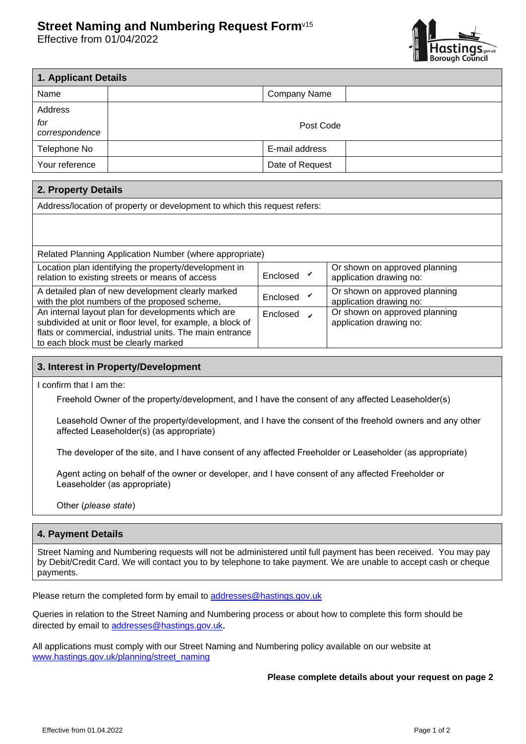## **Street Naming and Numbering Request Form**v15

Effective from 01/04/2022



| 1. Applicant Details  |           |                 |  |  |  |  |
|-----------------------|-----------|-----------------|--|--|--|--|
| Name                  |           | Company Name    |  |  |  |  |
| Address               |           |                 |  |  |  |  |
| for<br>correspondence | Post Code |                 |  |  |  |  |
| Telephone No          |           | E-mail address  |  |  |  |  |
| Your reference        |           | Date of Request |  |  |  |  |

| 2. Property Details                                                                                                                                                                                                  |          |                                                          |  |  |  |  |  |
|----------------------------------------------------------------------------------------------------------------------------------------------------------------------------------------------------------------------|----------|----------------------------------------------------------|--|--|--|--|--|
| Address/location of property or development to which this request refers:                                                                                                                                            |          |                                                          |  |  |  |  |  |
|                                                                                                                                                                                                                      |          |                                                          |  |  |  |  |  |
|                                                                                                                                                                                                                      |          |                                                          |  |  |  |  |  |
| Related Planning Application Number (where appropriate)                                                                                                                                                              |          |                                                          |  |  |  |  |  |
| Location plan identifying the property/development in<br>relation to existing streets or means of access                                                                                                             | Enclosed | Or shown on approved planning<br>application drawing no: |  |  |  |  |  |
| A detailed plan of new development clearly marked<br>with the plot numbers of the proposed scheme,                                                                                                                   | Enclosed | Or shown on approved planning<br>application drawing no: |  |  |  |  |  |
| An internal layout plan for developments which are<br>subdivided at unit or floor level, for example, a block of<br>flats or commercial, industrial units. The main entrance<br>to each block must be clearly marked | Enclosed | Or shown on approved planning<br>application drawing no: |  |  |  |  |  |

## **3. Interest in Property/Development**

I confirm that I am the:

Freehold Owner of the property/development, and I have the consent of any affected Leaseholder(s)

Leasehold Owner of the property/development, and I have the consent of the freehold owners and any other affected Leaseholder(s) (as appropriate)

The developer of the site, and I have consent of any affected Freeholder or Leaseholder (as appropriate)

Agent acting on behalf of the owner or developer, and I have consent of any affected Freeholder or Leaseholder (as appropriate)

Other (*please state*)

## **4. Payment Details**

Street Naming and Numbering requests will not be administered until full payment has been received. You may pay by Debit/Credit Card. We will contact you to by telephone to take payment. We are unable to accept cash or cheque payments.

Please return the completed form by email to [addresses@hastings.gov.uk](mailto:addresses@hastings.gov.uk)

Queries in relation to the Street Naming and Numbering process or about how to complete this form should be directed by email to [addresses@hastings.gov.uk](mailto:addresses@hastings.gov.uk).

All applications must comply with our Street Naming and Numbering policy available on our website at [www.hastings.gov.uk/planning/street\\_naming](https://www.hastings.gov.uk/planning/street_naming)

**Please complete details about your request on page 2**